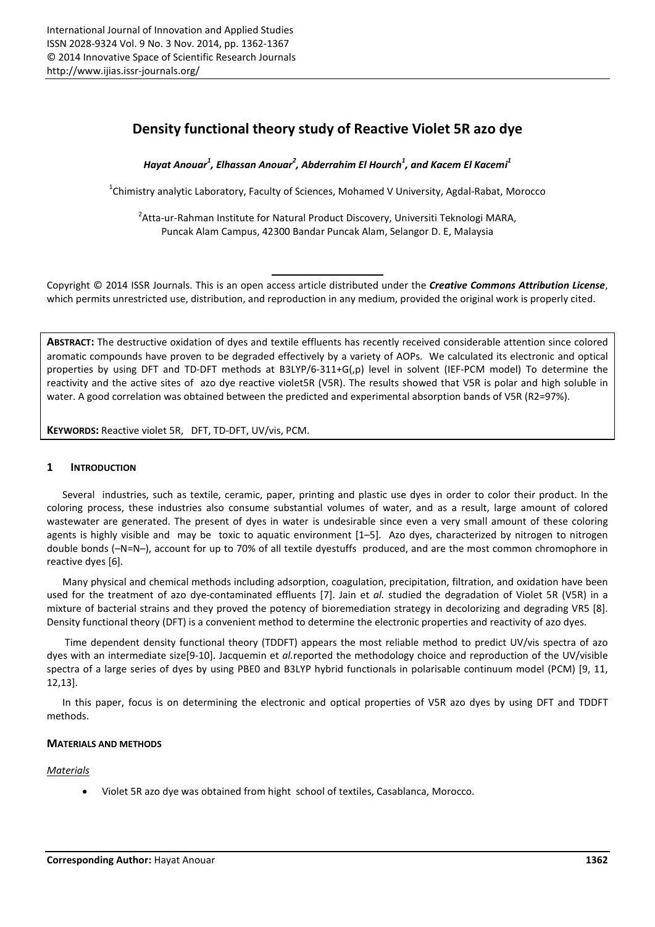# Density functional theory study of Reactive Violet 5R azo dye

*Hayat Anouar<sup>1</sup> , Elhassan Anouar<sup>2</sup> , Abderrahim El Hourch<sup>1</sup> , and Kacem El Kacemi1*

 $^{1}$ Chimistry analytic Laboratory, Faculty of Sciences, Mohamed V University, Agdal-Rabat, Morocco

<sup>2</sup>Atta-ur-Rahman Institute for Natural Product Discovery, Universiti Teknologi MARA, Puncak Alam Campus, 42300 Bandar Puncak Alam, Selangor D. E, Malaysia

Copyright © 2014 ISSR Journals. This is an open access article distributed under the *Creative Commons Attribution License*, which permits unrestricted use, distribution, and reproduction in any medium, provided the original work is properly cited.

ABSTRACT: The destructive oxidation of dyes and textile effluents has recently received considerable attention since colored aromatic compounds have proven to be degraded effectively by a variety of AOPs. We calculated its electronic and optical properties by using DFT and TD-DFT methods at B3LYP/6-311+G(,p) level in solvent (IEF-PCM model) To determine the reactivity and the active sites of azo dye reactive violet5R (V5R). The results showed that V5R is polar and high soluble in water. A good correlation was obtained between the predicted and experimental absorption bands of V5R (R2=97%).

KEYWORDS: Reactive violet 5R, DFT, TD-DFT, UV/vis, PCM.

# 1 INTRODUCTION

Several industries, such as textile, ceramic, paper, printing and plastic use dyes in order to color their product. In the coloring process, these industries also consume substantial volumes of water, and as a result, large amount of colored wastewater are generated. The present of dyes in water is undesirable since even a very small amount of these coloring agents is highly visible and may be toxic to aquatic environment [1-5]. Azo dyes, characterized by nitrogen to nitrogen double bonds (–N=N–), account for up to 70% of all textile dyestuffs produced, and are the most common chromophore in reactive dyes [6].

Many physical and chemical methods including adsorption, coagulation, precipitation, filtration, and oxidation have been used for the treatment of azo dye-contaminated effluents [7]. Jain et *al.* studied the degradation of Violet 5R (V5R) in a mixture of bacterial strains and they proved the potency of bioremediation strategy in decolorizing and degrading VR5 [8]. Density functional theory (DFT) is a convenient method to determine the electronic properties and reactivity of azo dyes.

Time dependent density functional theory (TDDFT) appears the most reliable method to predict UV/vis spectra of azo dyes with an intermediate size[9-10]. Jacquemin et *al.*reported the methodology choice and reproduction of the UV/visible spectra of a large series of dyes by using PBE0 and B3LYP hybrid functionals in polarisable continuum model (PCM) [9, 11, 12,13].

In this paper, focus is on determining the electronic and optical properties of V5R azo dyes by using DFT and TDDFT methods.

## MATERIALS AND METHODS

## *Materials*

Violet 5R azo dye was obtained from hight school of textiles, Casablanca, Morocco.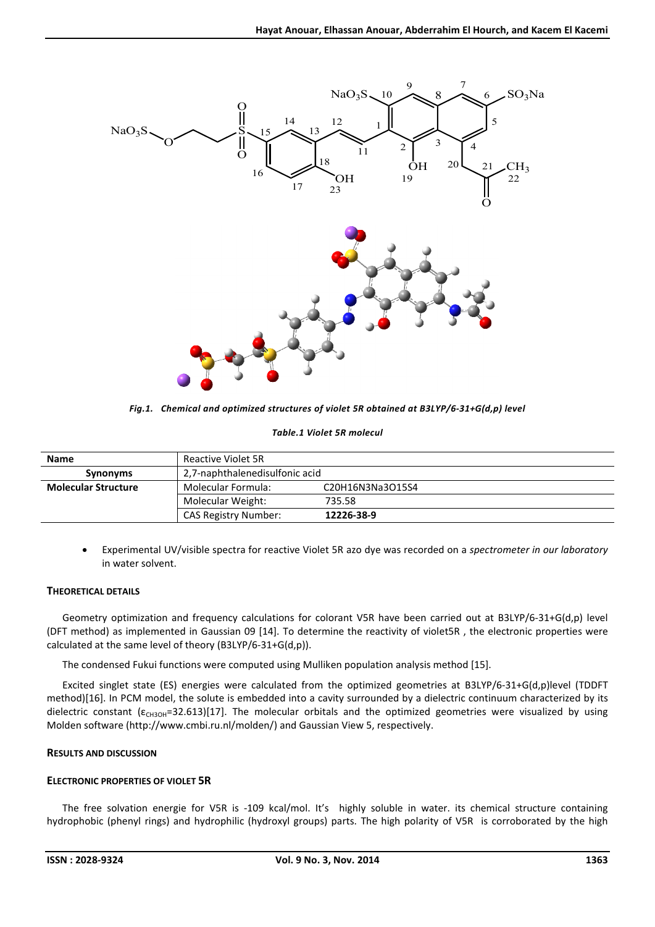

*Fig.1. Chemical and optimized structures of violet 5R obtained at B3LYP/6-31+G(d,p) level*

### *Table.1 Violet 5R molecul*

| <b>Name</b>                | Reactive Violet 5R             |                  |  |
|----------------------------|--------------------------------|------------------|--|
| <b>Synonyms</b>            | 2.7-naphthalenedisulfonic acid |                  |  |
| <b>Molecular Structure</b> | Molecular Formula:             | C20H16N3Na3O15S4 |  |
|                            | Molecular Weight:              | 735.58           |  |
|                            | <b>CAS Registry Number:</b>    | 12226-38-9       |  |

 Experimental UV/visible spectra for reactive Violet 5R azo dye was recorded on a *spectrometer in our laboratory* in water solvent.

# THEORETICAL DETAILS

Geometry optimization and frequency calculations for colorant V5R have been carried out at B3LYP/6-31+G(d,p) level (DFT method) as implemented in Gaussian 09 [14]. To determine the reactivity of violet5R , the electronic properties were calculated at the same level of theory (B3LYP/6-31+G(d,p)).

The condensed Fukui functions were computed using Mulliken population analysis method [15].

Excited singlet state (ES) energies were calculated from the optimized geometries at B3LYP/6-31+G(d,p)level (TDDFT method)[16]. In PCM model, the solute is embedded into a cavity surrounded by a dielectric continuum characterized by its dielectric constant ( $\varepsilon_{CH3OH}$ =32.613)[17]. The molecular orbitals and the optimized geometries were visualized by using Molden software (http://www.cmbi.ru.nl/molden/) and Gaussian View 5, respectively.

# RESULTS AND DISCUSSION

# ELECTRONIC PROPERTIES OF VIOLET 5R

The free solvation energie for V5R is -109 kcal/mol. It's highly soluble in water. its chemical structure containing hydrophobic (phenyl rings) and hydrophilic (hydroxyl groups) parts. The high polarity of V5R is corroborated by the high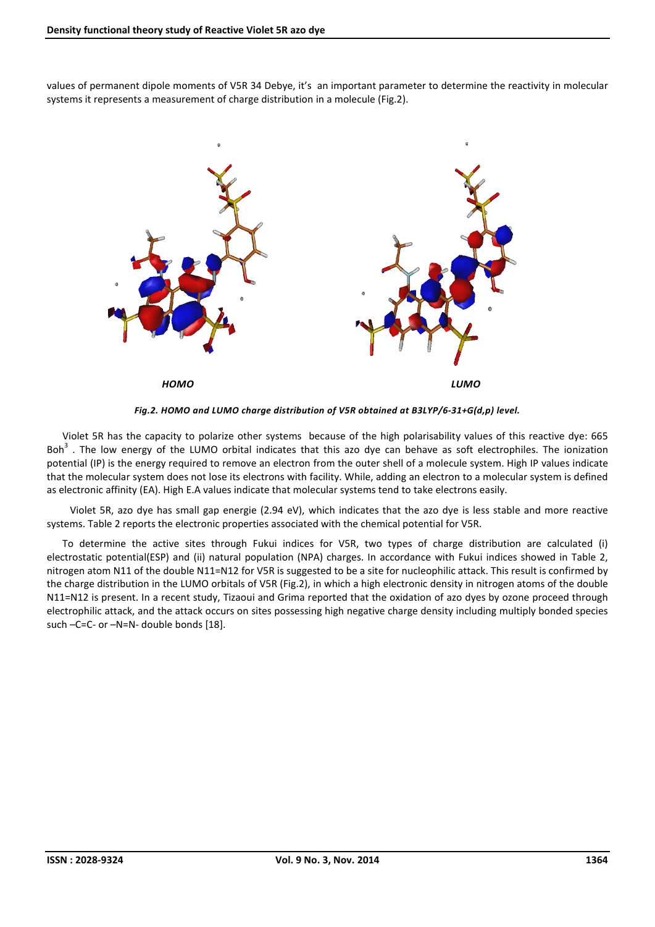values of permanent dipole moments of V5R 34 Debye, it's an important parameter to determine the reactivity in molecular systems it represents a measurement of charge distribution in a molecule (Fig.2).



*Fig.2. HOMO and LUMO charge distribution of V5R obtained at B3LYP/6-31+G(d,p) level.*

Violet 5R has the capacity to polarize other systems because of the high polarisability values of this reactive dye: 665 Boh<sup>3</sup>. The low energy of the LUMO orbital indicates that this azo dye can behave as soft electrophiles. The ionization potential (IP) is the energy required to remove an electron from the outer shell of a molecule system. High IP values indicate that the molecular system does not lose its electrons with facility. While, adding an electron to a molecular system is defined as electronic affinity (EA). High E.A values indicate that molecular systems tend to take electrons easily.

 Violet 5R, azo dye has small gap energie (2.94 eV), which indicates that the azo dye is less stable and more reactive systems. Table 2 reports the electronic properties associated with the chemical potential for V5R.

To determine the active sites through Fukui indices for V5R, two types of charge distribution are calculated (i) electrostatic potential(ESP) and (ii) natural population (NPA) charges. In accordance with Fukui indices showed in Table 2, nitrogen atom N11 of the double N11=N12 for V5R is suggested to be a site for nucleophilic attack. This result is confirmed by the charge distribution in the LUMO orbitals of V5R (Fig.2), in which a high electronic density in nitrogen atoms of the double N11=N12 is present. In a recent study, Tizaoui and Grima reported that the oxidation of azo dyes by ozone proceed through electrophilic attack, and the attack occurs on sites possessing high negative charge density including multiply bonded species such –C=C- or –N=N- double bonds [18].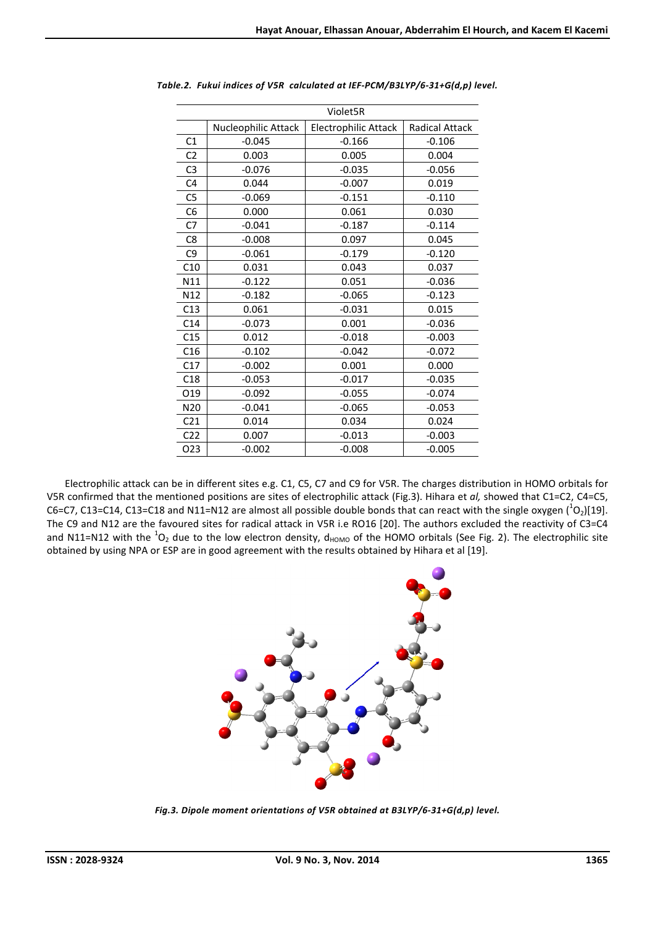| Violet5R        |                     |                      |                       |  |  |  |  |  |
|-----------------|---------------------|----------------------|-----------------------|--|--|--|--|--|
|                 | Nucleophilic Attack | Electrophilic Attack | <b>Radical Attack</b> |  |  |  |  |  |
| C1              | $-0.045$            | $-0.166$             | $-0.106$              |  |  |  |  |  |
| C <sub>2</sub>  | 0.003               | 0.005                | 0.004                 |  |  |  |  |  |
| C <sub>3</sub>  | $-0.076$            | $-0.035$             | $-0.056$              |  |  |  |  |  |
| C <sub>4</sub>  | 0.044               | $-0.007$             | 0.019                 |  |  |  |  |  |
| C <sub>5</sub>  | $-0.069$            | $-0.151$             |                       |  |  |  |  |  |
| C <sub>6</sub>  | 0.000               | 0.061                | 0.030                 |  |  |  |  |  |
| C7              | $-0.041$            | $-0.187$             | $-0.114$              |  |  |  |  |  |
| C <sub>8</sub>  | $-0.008$            | 0.097                | 0.045                 |  |  |  |  |  |
| C <sub>9</sub>  | $-0.061$            | $-0.179$             | $-0.120$              |  |  |  |  |  |
| C10             | 0.031               | 0.043                | 0.037                 |  |  |  |  |  |
| N11             | $-0.122$            | 0.051                | $-0.036$              |  |  |  |  |  |
| N12             | $-0.182$            | $-0.065$             | $-0.123$              |  |  |  |  |  |
| C13             | 0.061               | $-0.031$             | 0.015                 |  |  |  |  |  |
| C14             | $-0.073$            | 0.001                | $-0.036$              |  |  |  |  |  |
| C15             | 0.012               | $-0.018$             | $-0.003$              |  |  |  |  |  |
| C16             | $-0.102$            | $-0.042$             | $-0.072$              |  |  |  |  |  |
| C17             | $-0.002$            | 0.001                | 0.000                 |  |  |  |  |  |
| C18             | $-0.053$            | $-0.017$             | $-0.035$              |  |  |  |  |  |
| O <sub>19</sub> | $-0.092$            | $-0.055$             | $-0.074$              |  |  |  |  |  |
| N <sub>20</sub> | $-0.041$            | $-0.065$             | $-0.053$              |  |  |  |  |  |
| C <sub>21</sub> | 0.014               | 0.034                | 0.024                 |  |  |  |  |  |
| C <sub>22</sub> | 0.007               | $-0.013$             | $-0.003$              |  |  |  |  |  |
| 023             | $-0.002$            | $-0.008$             | $-0.005$              |  |  |  |  |  |
|                 |                     |                      |                       |  |  |  |  |  |

*Table.2. Fukui indices of V5R calculated at IEF-PCM/B3LYP/6-31+G(d,p) level.*

Electrophilic attack can be in different sites e.g. C1, C5, C7 and C9 for V5R. The charges distribution in HOMO orbitals for V5R confirmed that the mentioned positions are sites of electrophilic attack (Fig.3). Hihara et *al,* showed that C1=C2, C4=C5, C6=C7, C13=C14, C13=C18 and N11=N12 are almost all possible double bonds that can react with the single oxygen  $(^1O_2)[19]$ . The C9 and N12 are the favoured sites for radical attack in V5R i.e RO16 [20]. The authors excluded the reactivity of C3=C4 and N11=N12 with the  $^1$ O<sub>2</sub> due to the low electron density, d<sub>HOMO</sub> of the HOMO orbitals (See Fig. 2). The electrophilic site obtained by using NPA or ESP are in good agreement with the results obtained by Hihara et al [19].



*Fig.3. Dipole moment orientations of V5R obtained at B3LYP/6-31+G(d,p) level.*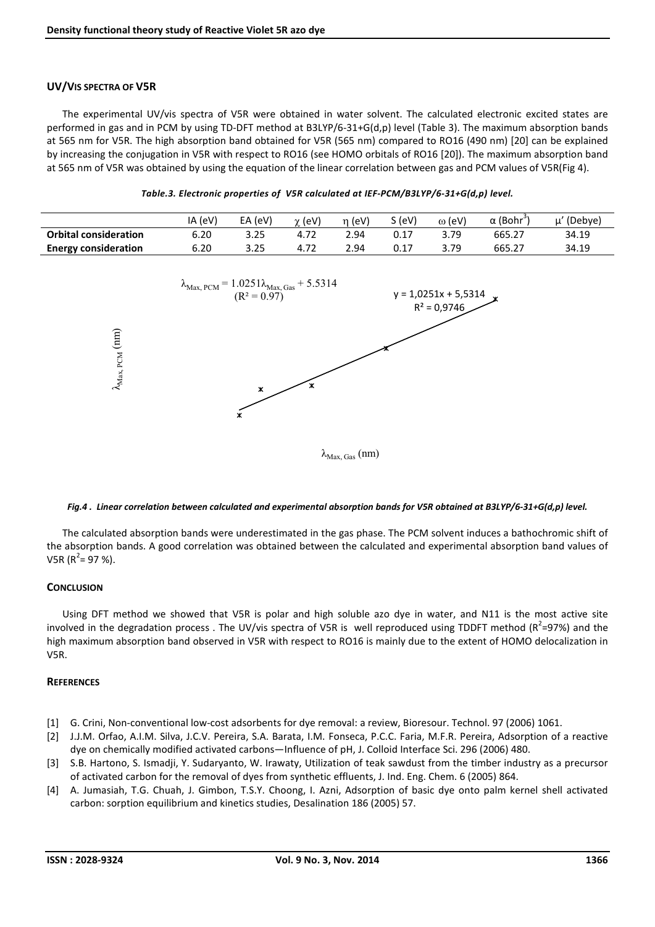## UV/VIS SPECTRA OF V5R

The experimental UV/vis spectra of V5R were obtained in water solvent. The calculated electronic excited states are performed in gas and in PCM by using TD-DFT method at B3LYP/6-31+G(d,p) level (Table 3). The maximum absorption bands at 565 nm for V5R. The high absorption band obtained for V5R (565 nm) compared to RO16 (490 nm) [20] can be explained by increasing the conjugation in V5R with respect to RO16 (see HOMO orbitals of RO16 [20]). The maximum absorption band at 565 nm of V5R was obtained by using the equation of the linear correlation between gas and PCM values of V5R(Fig 4).

|                              | IA (eV) | EA (eV) | $\gamma$ (eV) | (eV) | $S$ (eV) | $\omega$ (eV) | $\alpha$ (Bohr $\dot{}$ | (Debye)<br>. |
|------------------------------|---------|---------|---------------|------|----------|---------------|-------------------------|--------------|
| <b>Orbital consideration</b> | 5.20    | 3.25    |               | 2.94 |          | 3.79          | 665.27                  | 34.19        |
| <b>Energy consideration</b>  | 6.20    | 3.25    | 4.72          | 2.94 |          | 3.79          | 665.27                  | 34.19        |



#### Fig.4. Linear correlation between calculated and experimental absorption bands for V5R obtained at B3LYP/6-31+G(d,p) level.

The calculated absorption bands were underestimated in the gas phase. The PCM solvent induces a bathochromic shift of the absorption bands. A good correlation was obtained between the calculated and experimental absorption band values of V5R (R<sup>2</sup>= 97 %).

#### **CONCLUSION**

Using DFT method we showed that V5R is polar and high soluble azo dye in water, and N11 is the most active site involved in the degradation process . The UV/vis spectra of V5R is well reproduced using TDDFT method (R<sup>2</sup>=97%) and the high maximum absorption band observed in V5R with respect to RO16 is mainly due to the extent of HOMO delocalization in V5R.

#### **REFERENCES**

- [1] G. Crini, Non-conventional low-cost adsorbents for dye removal: a review, Bioresour. Technol. 97 (2006) 1061.
- [2] J.J.M. Orfao, A.I.M. Silva, J.C.V. Pereira, S.A. Barata, I.M. Fonseca, P.C.C. Faria, M.F.R. Pereira, Adsorption of a reactive dye on chemically modified activated carbons—Influence of pH, J. Colloid Interface Sci. 296 (2006) 480.
- [3] S.B. Hartono, S. Ismadji, Y. Sudaryanto, W. Irawaty, Utilization of teak sawdust from the timber industry as a precursor of activated carbon for the removal of dyes from synthetic effluents, J. Ind. Eng. Chem. 6 (2005) 864.
- [4] A. Jumasiah, T.G. Chuah, J. Gimbon, T.S.Y. Choong, I. Azni, Adsorption of basic dye onto palm kernel shell activated carbon: sorption equilibrium and kinetics studies, Desalination 186 (2005) 57.